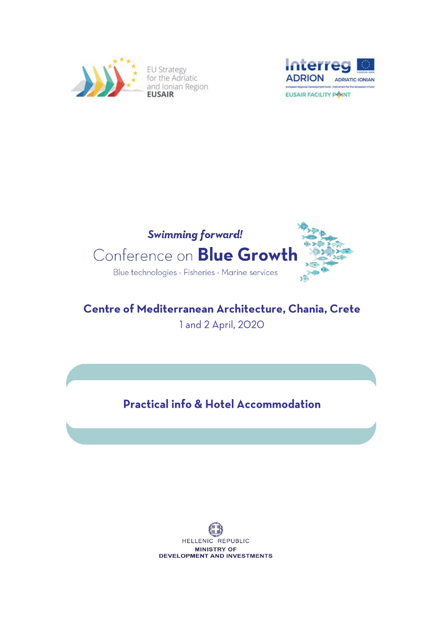

**EU Strategy** for the Adriatic and Ionian Region





# Centre of Mediterranean Architecture, Chania, Crete 1 and 2 April, 2020

**Practical info & Hotel Accommodation** 

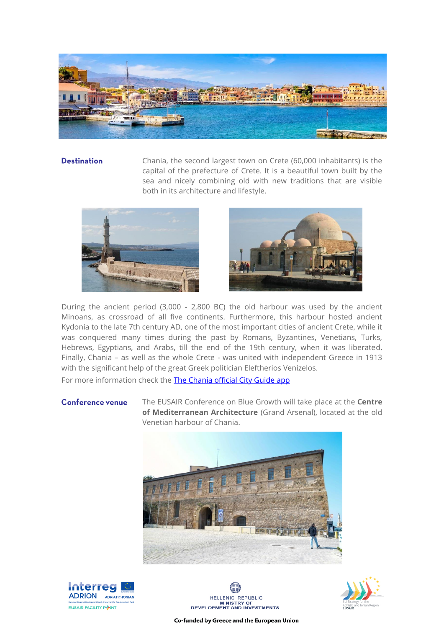

# **Destination**

Chania, the second largest town on Crete (60,000 inhabitants) is the capital of the prefecture of Crete. It is a beautiful town built by the sea and nicely combining old with new traditions that are visible both in its architecture and lifestyle.





During the ancient period (3,000 - 2,800 BC) the old harbour was used by the ancient Minoans, as crossroad of all five continents. Furthermore, this harbour hosted ancient Kydonia to the late 7th century AD, one of the most important cities of ancient Crete, while it was conquered many times during the past by Romans, Byzantines, Venetians, Turks, Hebrews, Egyptians, and Arabs, till the end of the 19th century, when it was liberated. Finally, Chania – as well as the whole Crete - was united with independent Greece in 1913 with the significant help of the great Greek politician Eleftherios Venizelos.

For more information check the [The Chania official City Guide app](https://www.chaniatourism.com/the-official-chania-city-guide-app.html)

#### **Conference venue**

The EUSAIR Conference on Blue Growth will take place at the **Centre of Mediterranean Architecture** (Grand Arsenal), located at the old Venetian harbour of Chania.









Co-funded by Greece and the European Union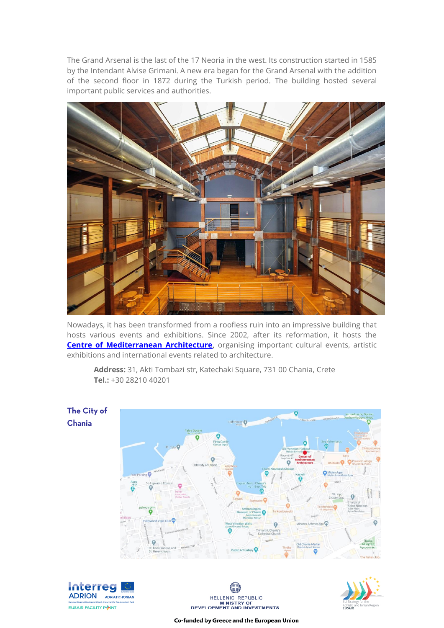The Grand Arsenal is the last of the 17 Neoria in the west. Its construction started in 1585 by the Intendant Alvise Grimani. A new era began for the Grand Arsenal with the addition of the second floor in 1872 during the Turkish period. The building hosted several important public services and authorities.



Nowadays, it has been transformed from a roofless ruin into an impressive building that hosts various events and exhibitions. Since 2002, after its reformation, it hosts the **Centre of Mediterranean Architecture**, organising important cultural events, artistic exhibitions and international events related to architecture.



**Address:** 31, Akti Tombazi str, Katechaki Square, 731 00 Chania, Crete **Tel.:** +30 28210 40201







Co-funded by Greece and the European Union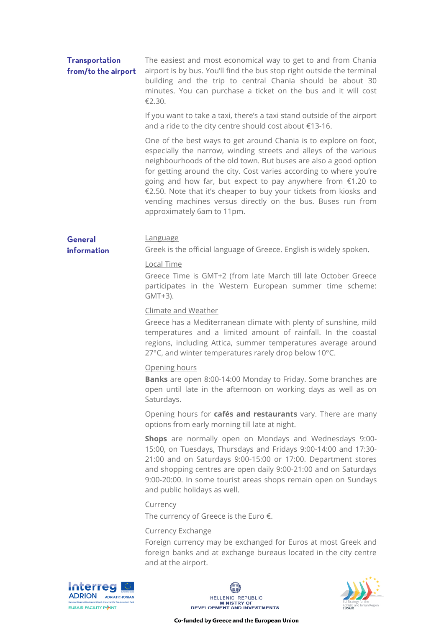# **Transportation** from/to the airport

The easiest and most economical way to get to and from Chania airport is by bus. You'll find the bus stop right outside the terminal building and the trip to central Chania should be about 30 minutes. You can purchase a ticket on the bus and it will cost €2.30.

If you want to take a taxi, there's a taxi stand outside of the airport and a ride to the city centre should cost about €13-16.

One of the best ways to get around Chania is to explore on foot, especially the narrow, winding streets and alleys of the various neighbourhoods of the old town. But buses are also a good option for getting around the city. Cost varies according to where you're going and how far, but expect to pay anywhere from €1.20 to €2.50. Note that it's cheaper to buy your tickets from kiosks and vending machines versus directly on the bus. Buses run from approximately 6am to 11pm.

#### General Language

information

# Local Time

Greece Time is GMT+2 (from late March till late October Greece participates in the Western European summer time scheme: GMT+3).

Greek is the official language of Greece. English is widely spoken.

# Climate and Weather

Greece has a Mediterranean climate with plenty of sunshine, mild temperatures and a limited amount of rainfall. In the coastal regions, including Attica, summer temperatures average around 27°C, and winter temperatures rarely drop below 10°C.

### Opening hours

**Banks** are open 8:00-14:00 Monday to Friday. Some branches are open until late in the afternoon on working days as well as on Saturdays.

Opening hours for **cafés and restaurants** vary. There are many options from early morning till late at night.

**Shops** are normally open on Mondays and Wednesdays 9:00- 15:00, on Tuesdays, Thursdays and Fridays 9:00-14:00 and 17:30- 21:00 and on Saturdays 9:00-15:00 or 17:00. Department stores and shopping centres are open daily 9:00-21:00 and on Saturdays 9:00-20:00. In some tourist areas shops remain open on Sundays and public holidays as well.

### Currency

The currency of Greece is the Euro €.

### Currency Exchange

Foreign currency may be exchanged for Euros at most Greek and foreign banks and at exchange bureaus located in the city centre and at the airport.





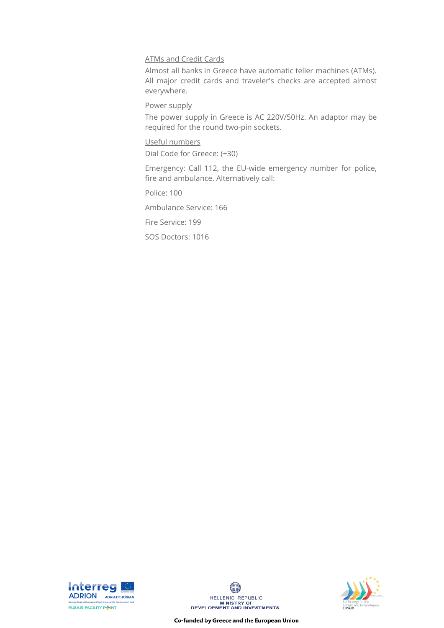# ATMs and Credit Cards

Almost all banks in Greece have automatic teller machines (ATMs). All major credit cards and traveler's checks are accepted almost everywhere.

# Power supply

The power supply in Greece is AC 220V/50Hz. An adaptor may be required for the round two-pin sockets.

# Useful numbers

Dial Code for Greece: (+30)

Emergency: Call 112, the EU-wide emergency number for police, fire and ambulance. Alternatively call:

Police: 100

Ambulance Service: 166

Fire Service: 199

SOS Doctors: 1016







Co-funded by Greece and the European Union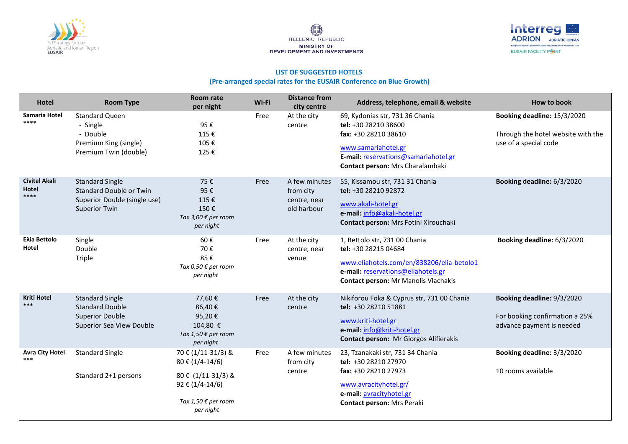





#### **LIST OF SUGGESTED HOTELS**

#### **(Pre-arranged special rates for the EUSAIR Conference on Blue Growth)**

| Hotel                                 | <b>Room Type</b>                                                                                          | Room rate<br>per night                                                                                                        | Wi-Fi | <b>Distance from</b><br>city centre                       | Address, telephone, email & website                                                                                                                                                     | How to book                                                                                |
|---------------------------------------|-----------------------------------------------------------------------------------------------------------|-------------------------------------------------------------------------------------------------------------------------------|-------|-----------------------------------------------------------|-----------------------------------------------------------------------------------------------------------------------------------------------------------------------------------------|--------------------------------------------------------------------------------------------|
| Samaria Hotel<br>****                 | <b>Standard Queen</b><br>- Single<br>- Double<br>Premium King (single)<br>Premium Twin (double)           | 95€<br>115€<br>105€<br>125€                                                                                                   | Free  | At the city<br>centre                                     | 69, Kydonias str, 731 36 Chania<br>tel: +30 28210 38600<br>fax: +30 28210 38610<br>www.samariahotel.gr<br>E-mail: reservations@samariahotel.gr<br>Contact person: Mrs Charalambaki      | Booking deadline: 15/3/2020<br>Through the hotel website with the<br>use of a special code |
| <b>Civitel Akali</b><br>Hotel<br>**** | <b>Standard Single</b><br>Standard Double or Twin<br>Superior Double (single use)<br><b>Superior Twin</b> | 75€<br>95€<br>115€<br>150€<br>Tax 3,00 € per room<br>per night                                                                | Free  | A few minutes<br>from city<br>centre, near<br>old harbour | 55, Kissamou str, 731 31 Chania<br>tel: +30 28210 92872<br>www.akali-hotel.gr<br>e-mail: info@akali-hotel.gr<br>Contact person: Mrs Fotini Xirouchaki                                   | Booking deadline: 6/3/2020                                                                 |
| <b>Ελία Bettolo</b><br>Hotel          | Single<br>Double<br>Triple                                                                                | 60€<br>70€<br>85€<br>Tax 0,50 € per room<br>per night                                                                         | Free  | At the city<br>centre, near<br>venue                      | 1, Bettolo str, 731 00 Chania<br>tel: +30 28215 04684<br>www.eliahotels.com/en/838206/elia-betolo1<br>e-mail: reservations@eliahotels.gr<br><b>Contact person: Mr Manolis Vlachakis</b> | Booking deadline: 6/3/2020                                                                 |
| <b>Kriti Hotel</b><br>***             | <b>Standard Single</b><br><b>Standard Double</b><br><b>Superior Double</b><br>Superior Sea View Double    | 77,60€<br>86,40€<br>95,20€<br>104,80 €<br>Tax 1,50 € per room<br>per night                                                    | Free  | At the city<br>centre                                     | Nikiforou Foka & Cyprus str, 731 00 Chania<br>tel: +30 28210 51881<br>www.kriti-hotel.gr<br>e-mail: info@kriti-hotel.gr<br>Contact person: Mr Giorgos Alifierakis                       | Booking deadline: 9/3/2020<br>For booking confirmation a 25%<br>advance payment is needed  |
| <b>Avra City Hotel</b><br>***         | <b>Standard Single</b><br>Standard 2+1 persons                                                            | 70 € (1/11-31/3) &<br>80 € (1/4-14/6)<br>80 € (1/11-31/3) &<br>$92 \t\epsilon (1/4-14/6)$<br>Tax 1,50 € per room<br>per night | Free  | A few minutes<br>from city<br>centre                      | 23, Tzanakaki str, 731 34 Chania<br>tel: +30 28210 27970<br>fax: +30 28210 27973<br>www.avracityhotel.gr/<br>e-mail: avracityhotel.gr<br>Contact person: Mrs Peraki                     | Booking deadline: 3/3/2020<br>10 rooms available                                           |